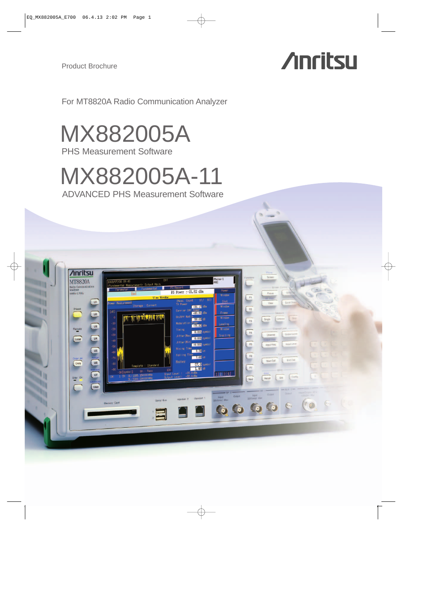**Anritsu** 

**ED CASE CONTROL** CONTROL CONTROL CONTROL CONTROL CONTROL CONTROL CONTROL CONTROL CONTROL CONTROL CONTROL CONTROL CONTROL CONTROL CONTROL CONTROL CONTROL CONTROL CONTROL CONTROL CONTROL CONTROL CONTROL CONTROL CONTROL CONT

 $\overline{u}$ 

**MT8820A** 

Remote<br>Local<br>Local

Copy . B

# **Anritsu**

For MT8820A Radio Communication Analyzer

MX882005A

PHS Measurement Software

# MX882005A-11

ADVANCED PHS Measurement Software

<u>man at le biologia de la com</u>

Phone-1

 $2|3|4$ 

 $\begin{array}{|c|c|c|c|} \hline \rule{0pt}{2ex} \rule{0pt}{2ex} \rule{0pt}{2ex} \rule{0pt}{2ex} \rule{0pt}{2ex} \rule{0pt}{2ex} \rule{0pt}{2ex} \rule{0pt}{2ex} \rule{0pt}{2ex} \rule{0pt}{2ex} \rule{0pt}{2ex} \rule{0pt}{2ex} \rule{0pt}{2ex} \rule{0pt}{2ex} \rule{0pt}{2ex} \rule{0pt}{2ex} \rule{0pt}{2ex} \rule{0pt}{2ex} \rule{0pt}{2ex} \rule{0pt}{2ex} \rule{0pt}{2ex} \rule{0pt}{2ex} \rule{0$ 

Start Call

 $\bullet$   $\bullet$   $\bullet$   $\bullet$   $\bullet$ 

 $-21.82$  dB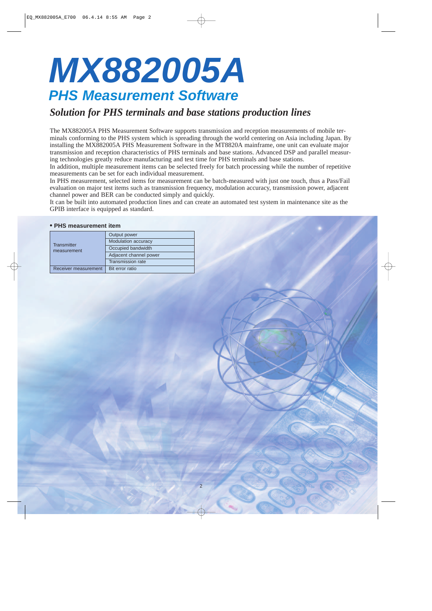# **MX882005A PHS Measurement Software**

## *Solution for PHS terminals and base stations production lines*

The MX882005A PHS Measurement Software supports transmission and reception measurements of mobile terminals conforming to the PHS system which is spreading through the world centering on Asia including Japan. By installing the MX882005A PHS Measurement Software in the MT8820A mainframe, one unit can evaluate major transmission and reception characteristics of PHS terminals and base stations. Advanced DSP and parallel measuring technologies greatly reduce manufacturing and test time for PHS terminals and base stations.

In addition, multiple measurement items can be selected freely for batch processing while the number of repetitive measurements can be set for each individual measurement.

In PHS measurement, selected items for measurement can be batch-measured with just one touch, thus a Pass/Fail evaluation on major test items such as transmission frequency, modulation accuracy, transmission power, adjacent channel power and BER can be conducted simply and quickly.

It can be built into automated production lines and can create an automated test system in maintenance site as the GPIB interface is equipped as standard.

2

#### **• PHS measurement item**

| <b>Transmitter</b><br>measurement | Output power           |
|-----------------------------------|------------------------|
|                                   | Modulation accuracy    |
|                                   | Occupied bandwidth     |
|                                   | Adjacent channel power |
|                                   | Transmission rate      |
| Receiver measurement              | Bit error ratio        |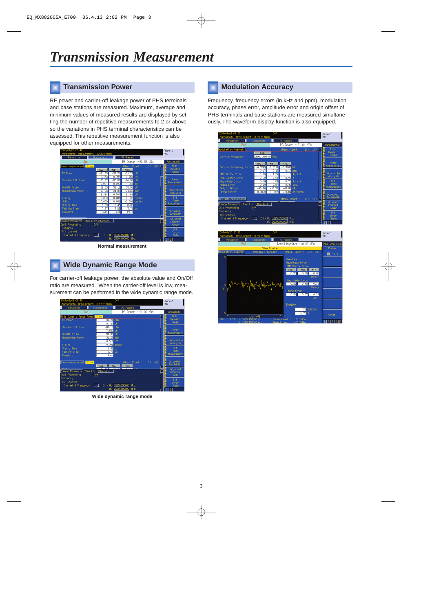### **Transmission Power**

RF power and carrier-off leakage power of PHS terminals and base stations are measured. Maximum, average and minimum values of measured results are displayed by setting the number of repetitive measurements to 2 or above, so the variations in PHS terminal characteristics can be assessed. This repetitive measurement function is also equipped for other measurements.



**Normal measurement**

## **Wide Dynamic Range Mode**

For carrier-off leakage power, the absolute value and On/Off ratio are measured. When the carrier-off level is low, measurement can be performed in the wide dynamic range mode.



**Wide dynamic range mode**

### **Modulation Accuracy**

Frequency, frequency errors (in kHz and ppm), modulation accuracy, phase error, amplitude error and origin offset of PHS terminals and base stations are measured simultaneously. The waveform display function is also equipped.



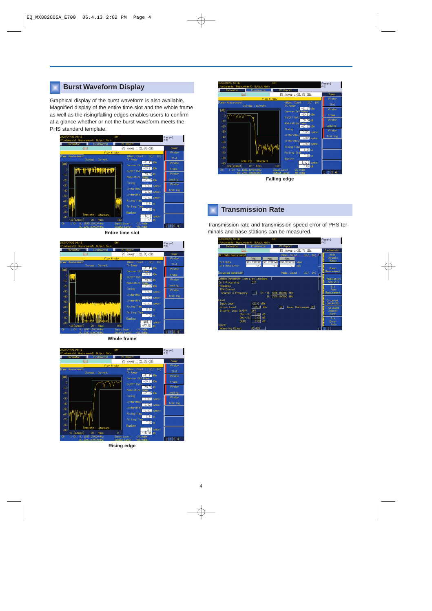## **Burst Waveform Display**

Graphical display of the burst waveform is also available. Magnified display of the entire time slot and the whole frame as well as the rising/falling edges enables users to confirm at a glance whether or not the burst waveform meets the PHS standard template.



**Entire time slot**



**Whole frame**



**Rising edge**



**Falling edge**

#### **Transmission Rate**

Transmission rate and transmission speed error of PHS terminals and base stations can be measured.

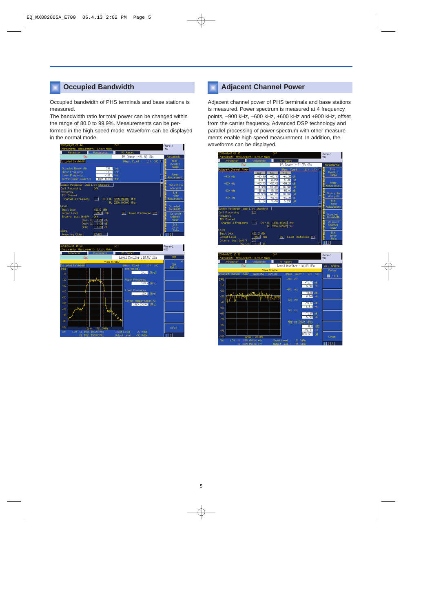### **Occupied Bandwidth**

Occupied bandwidth of PHS terminals and base stations is measured.

The bandwidth ratio for total power can be changed within the range of 80.0 to 99.9%. Measurements can be performed in the high-speed mode. Waveform can be displayed in the normal mode.

| 2003/07/08 09:44                                                                        | Off                                       | Phone-1                      |
|-----------------------------------------------------------------------------------------|-------------------------------------------|------------------------------|
| <fundamental measurement=""> Output Main</fundamental>                                  |                                           | <b>PHS</b>                   |
| Parameter<br>Fundamental                                                                | PS Report                                 |                              |
| End                                                                                     | PS Power :-21.80 dBm                      | Fundamental                  |
| Occupied Bandwidth<br>Occupied Bandwidth                                                | (Meas, Count :<br>10)<br>10/<br>239.4 kHz | Wide<br>Dynanic<br>Range     |
| <b>Upper Frequency</b><br>Lowen Frequency<br>1895.149804 MHz<br>Center (Upper+Lower) /2 | $119.5$ kHz<br>$-119.9$ kHz               | Power<br>Measurement         |
| Connon Parameter Item List Standard<br>Call Processing<br>Off                           |                                           | Modulation<br>Analysis       |
| Frequency<br><b>TCH Channel</b><br>$\blacksquare$ 1<br>Channel & Frequency              | $CH = UL$ 1895.150000<br>MH <sub>z</sub>  | Bit.<br>Rate<br>Measurement  |
| DL 2200.000000<br>Level<br>$-20.0$ dBm<br>Input Level                                   | Occupi ed<br>Bandwi dth                   |                              |
| Output Level<br>$-55.0$ dBm<br>Off<br>External Loss On/Off<br>(Main UL) 0.00<br>ďB      | On Level Continuous Off                   | Adjacent<br>Channel<br>Power |
| (Main DL) 0.00<br>dB<br>0.00<br>ďB<br>(AUX)<br>Signal                                   |                                           | $Ri$ +<br>Ennon<br>Rate      |
| PS-TCH<br>Measuring Object                                                              |                                           | $\hat{2}$                    |

| 2004/03/25 15:33   |                                                        | Off                          | Phone-1      |
|--------------------|--------------------------------------------------------|------------------------------|--------------|
|                    | <fundamental measurement=""> Output Main</fundamental> |                              | <b>PHS</b>   |
| Parameter          | Fundamental                                            | PS Report                    |              |
|                    | End                                                    | Level Monitor :18.87 dBm     | OBW          |
|                    | View Window                                            |                              |              |
| Decupied Bandwidth |                                                        | (Meas. Count: 10/ 10)        | OBW<br>Ratio |
| [dB]               |                                                        | 0BW (99.0%)                  |              |
| $-10$              |                                                        | 241.4 [kHz]                  |              |
| $-20$              | <b>Wednesday</b>                                       | <b>Uppen Frequency</b>       |              |
|                    |                                                        | $120.7$ [kHz]                |              |
| $-30$              |                                                        |                              |              |
| $-40$              |                                                        | Lowen Frequency              |              |
| $-50$              |                                                        | $-120.7$ [kHz]               |              |
|                    |                                                        | Center (Upper+Lower)/2       |              |
| $-60$              |                                                        | 1895.150000 [MHz]            |              |
| $-70$              |                                                        |                              |              |
|                    |                                                        |                              |              |
| $-80$              |                                                        |                              |              |
| $-90$              |                                                        |                              |              |
|                    |                                                        |                              |              |
| $-100$             | Span: 781.3kHz                                         |                              | Close        |
| 1CH<br>CH:         | UL: 1895, 150000 MHz                                   | Input Level : 20.0dBm        |              |
|                    | DI: 1895, 150000 MHz                                   | Dutnut Level:<br>$-55.0$ dBn | 1121         |

### **Adjacent Channel Power**

Adjacent channel power of PHS terminals and base stations is measured. Power spectrum is measured at 4 frequency points, –900 kHz, –600 kHz, +600 kHz and +900 kHz, offset from the carrier frequency. Advanced DSP technology and parallel processing of power spectrum with other measurements enable high-speed measurement. In addition, the waveforms can be displayed.



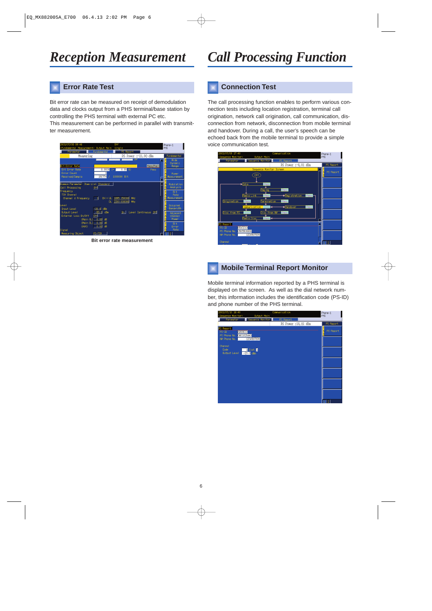## **Error Rate Test**

Bit error rate can be measured on receipt of demodulation data and clocks output from a PHS terminal/base station by controlling the PHS terminal with external PC etc.

This measurement can be performed in parallel with transmitter measurement.



**Bit error rate measurement**

# *Reception Measurement Call Processing Function*

### **Connection Test**

The call processing function enables to perform various connection tests including location registration, terminal call origination, network call origination, call communication, disconnection from network, disconnection from mobile terminal and handover. During a call, the user's speech can be echoed back from the mobile terminal to provide a simple voice communication test.



#### **Mobile Terminal Report Monitor**

Mobile terminal information reported by a PHS terminal is displayed on the screen. As well as the dial network number, this information includes the identification code (PS-ID) and phone number of the PHS terminal.

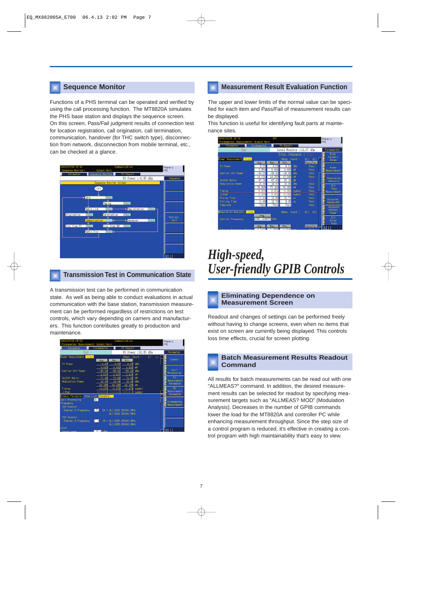Functions of a PHS terminal can be operated and verified by using the call processing function. The MT8820A simulates the PHS base station and displays the sequence screen. On this screen, Pass/Fail judgment results of connection test for location registration, call origination, call termination, communication, handover (for THC switch type), disconnection from network, disconnection from mobile terminal, etc., can be checked at a glance.



#### **Transmission Test in Communication State**

A transmission test can be performed in communication state. As well as being able to conduct evaluations in actual communication with the base station, transmission measurement can be performed regardless of restrictions on test controls, which vary depending on carriers and manufacturers. This function contributes greatly to production and maintenance.



#### **Sequence Monitor Measurement Result Evaluation Function**

The upper and lower limits of the normal value can be specified for each item and Pass/Fail of measurement results can be displayed.

This function is useful for identifying fault parts at maintenance sites.



# *High-speed, User-friendly GPIB Controls*

#### **Eliminating Dependence on Measurement Screen**

Readout and changes of settings can be performed freely without having to change screens, even when no items that exist on screen are currently being displayed. This controls loss time effects, crucial for screen plotting.



All results for batch measurements can be read out with one "ALLMEAS?" command. In addition, the desired measurement results can be selected for readout by specifying measurement targets such as "ALLMEAS? MOD" (Modulation Analysis). Decreases in the number of GPIB commands lower the load for the MT8820A and controller PC while enhancing measurement throughput. Since the step size of a control program is reduced, it's effective in creating a control program with high maintainability that's easy to view.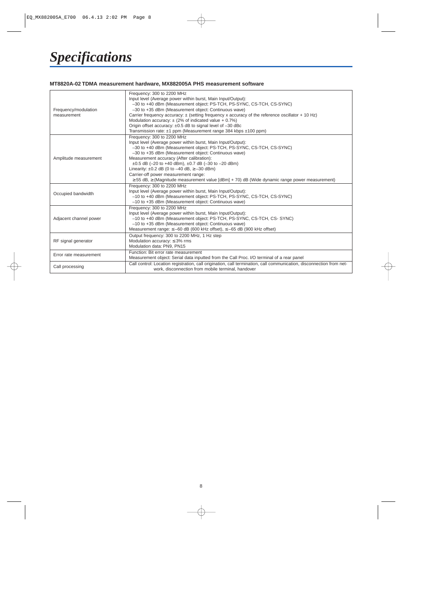# *Specifications*

#### **MT8820A-02 TDMA measurement hardware, MX882005A PHS measurement software**

| Frequency/modulation<br>measurement | Frequency: 300 to 2200 MHz<br>Input level (Average power within burst, Main Input/Output):<br>-30 to +40 dBm (Measurement object: PS-TCH, PS-SYNC, CS-TCH, CS-SYNC)<br>-30 to +35 dBm (Measurement object: Continuous wave)<br>Carrier frequency accuracy: ± (setting frequency x accuracy of the reference oscillator + 10 Hz)<br>Modulation accuracy: $\pm$ (2% of indicated value + 0.7%)<br>Origin offset accuracy: ±0.5 dB to signal level of -30 dBc<br>Transmission rate: $\pm 1$ ppm (Measurement range 384 kbps $\pm 100$ ppm)               |
|-------------------------------------|-------------------------------------------------------------------------------------------------------------------------------------------------------------------------------------------------------------------------------------------------------------------------------------------------------------------------------------------------------------------------------------------------------------------------------------------------------------------------------------------------------------------------------------------------------|
| Amplitude measurement               | Frequency: 300 to 2200 MHz<br>Input level (Average power within burst, Main Input/Output):<br>-30 to +40 dBm (Measurement object: PS-TCH, PS-SYNC, CS-TCH, CS-SYNC)<br>-30 to +35 dBm (Measurement object: Continuous wave)<br>Measurement accuracy (After calibration):<br>$\pm 0.5$ dB (-20 to +40 dBm), $\pm 0.7$ dB (-30 to -20 dBm)<br>Linearity: $\pm 0.2$ dB (0 to $-40$ dB, $\ge -30$ dBm)<br>Carrier-off power measurement range:<br>$\geq$ 55 dB, $\geq$ (Magnitude measurement value [dBm] + 70) dB (Wide dynamic range power measurement) |
| Occupied bandwidth                  | Frequency: 300 to 2200 MHz<br>Input level (Average power within burst, Main Input/Output):<br>-10 to +40 dBm (Measurement object: PS-TCH, PS-SYNC, CS-TCH, CS-SYNC)<br>-10 to +35 dBm (Measurement object: Continuous wave)                                                                                                                                                                                                                                                                                                                           |
| Adjacent channel power              | Frequency: 300 to 2200 MHz<br>Input level (Average power within burst, Main Input/Output):<br>-10 to +40 dBm (Measurement object: PS-TCH, PS-SYNC, CS-TCH, CS- SYNC)<br>-10 to +35 dBm (Measurement object: Continuous wave)<br>Measurement range: $\leq -60$ dB (600 kHz offset), $\leq -65$ dB (900 kHz offset)                                                                                                                                                                                                                                     |
| RF signal generator                 | Output frequency: 300 to 2200 MHz, 1 Hz step<br>Modulation accuracy: $\leq$ 3% rms<br>Modulation data: PN9, PN15                                                                                                                                                                                                                                                                                                                                                                                                                                      |
| Error rate measurement              | Function: Bit error rate measurement<br>Measurement object: Serial data inputted from the Call Proc. I/O terminal of a rear panel                                                                                                                                                                                                                                                                                                                                                                                                                     |
| Call processing                     | Call control: Location registration, call origination, call termination, call communication, disconnection from net-<br>work, disconnection from mobile terminal, handover                                                                                                                                                                                                                                                                                                                                                                            |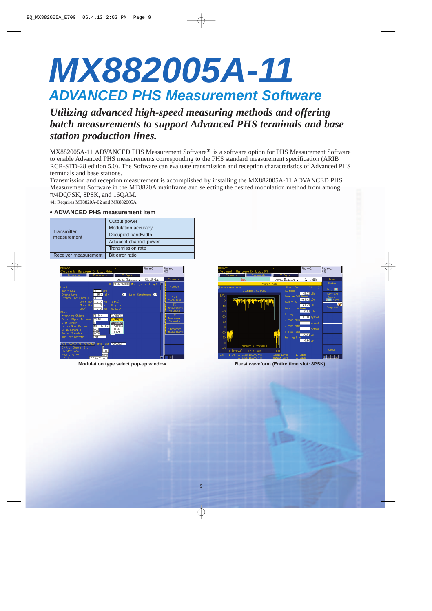# **MX882005A-11 ADVANCED PHS Measurement Software**

## *Utilizing advanced high-speed measuring methods and offering batch measurements to support Advanced PHS terminals and base station production lines.*

MX882005A-11 ADVANCED PHS Measurement Software<sup>∗1</sup> is a software option for PHS Measurement Software to enable Advanced PHS measurements corresponding to the PHS standard measurement specification (ARIB RCR-STD-28 edition 5.0). The Software can evaluate transmission and reception characteristics of Advanced PHS terminals and base stations.

Transmission and reception measurement is accomplished by installing the MX882005A-11 ADVANCED PHS Measurement Software in the MT8820A mainframe and selecting the desired modulation method from among π/4DQPSK, 8PSK, and 16QAM.

∗1: Requires MT8820A-02 and MX882005A

#### **• ADVANCED PHS measurement item**

| <b>Transmitter</b>   | Output power             |
|----------------------|--------------------------|
|                      | Modulation accuracy      |
| measurement          | Occupied bandwidth       |
|                      | Adjacent channel power   |
|                      | <b>Transmission rate</b> |
| Receiver measurement | Bit error ratio          |





**Modulation type select pop-up window burst proportional select pop-up and Burst waveform (Entire time slot: 8PSK)**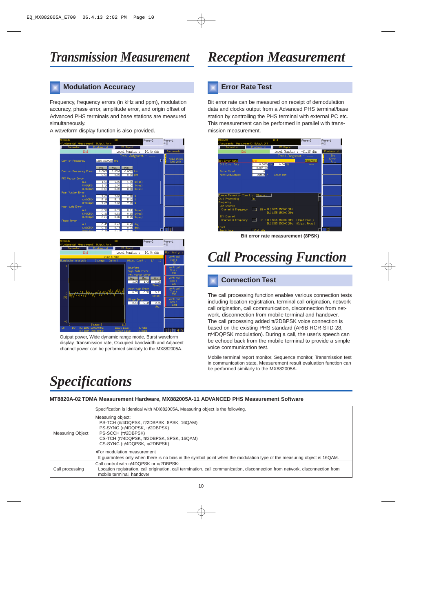### **Modulation Accuracy**

Frequency, frequency errors (in kHz and ppm), modulation accuracy, phase error, amplitude error, and origin offset of Advanced PHS terminals and base stations are measured simultaneously.

A waveform display function is also provided.



| MT8820A<br><fundamental measurement=""> Output Main</fundamental>                                                                 | Off                                               | Phone-2                                 | Phone-1<br>PH <sub>S</sub>           |
|-----------------------------------------------------------------------------------------------------------------------------------|---------------------------------------------------|-----------------------------------------|--------------------------------------|
| Fundamental<br>Parameter                                                                                                          | PS Report                                         |                                         |                                      |
| End                                                                                                                               | Level Monitor:                                    | 10.04 dBm                               | Mod. Analysis                        |
| View Window                                                                                                                       | Vertical                                          |                                         |                                      |
| Modulation Analysis<br>Storage :<br>Current                                                                                       | Scale<br>5%                                       |                                         |                                      |
| 5                                                                                                                                 | Waveform :<br>Magnitude Error<br>RMS Vector Error |                                         | Vertical<br>Scale<br>10 <sup>2</sup> |
|                                                                                                                                   | Avg.<br>1.06                                      | Min<br>Max<br>1.06<br>1.06<br>$%$ (rms) | Vertical<br>Scale<br>20%             |
| $M/M_{h}$ , APO, AC, $N_{h}$ , $\lambda_{h}$ , $\lambda_{h}$ , $\lambda_{h}$ , $\lambda_{h}$ , $\lambda_{h}$<br>$\theta$<br>$[3]$ | Magnitude Ennon<br>0.71                           | 0.71<br>0.71<br>$%$ (rms)               | Vertical<br>Scale<br>50%             |
|                                                                                                                                   | Phase Error<br>0.45                               | 0.45<br>0.45<br>deg.                    | Vertical<br>Scale<br>100%            |
|                                                                                                                                   |                                                   |                                         |                                      |
| $-5$                                                                                                                              |                                                   |                                         |                                      |
| [symbol]<br>$\mathcal{D}$                                                                                                         | 112                                               |                                         |                                      |
| 1CH<br>CH:<br>UL: 1895, 150000 MHz<br>DL : 1295 150000 MHz                                                                        | Input Level :<br>District Louis L. L.10, OdRo     | 9.7 <sub>dBn</sub>                      | $112$   $3$   $4$   $5$              |

Output power, Wide dynamic range mode, Burst waveform display, Transmission rate, Occupied bandwidth and Adjacent channel power can be performed similarly to the MX882005A.

#### **Error Rate Test**

Bit error rate can be measured on receipt of demodulation data and clocks output from a Advanced PHS terminal/base station by controlling the PHS terminal with external PC etc. This measurement can be performed in parallel with transmission measurement.



**Bit error rate measurement (8PSK)**

# *Call Processing Function*

#### **Connection Test**

The call processing function enables various connection tests including location registration, terminal call origination, network call origination, call communication, disconnection from network, disconnection from mobile terminal and handover. The call processing added  $\pi$ /2DBPSK voice connection is based on the existing PHS standard (ARIB RCR-STD-28,  $\pi$ /4DQPSK modulation). During a call, the user's speech can be echoed back from the mobile terminal to provide a simple voice communication test.

Mobile terminal report monitor, Sequence monitor, Transmission test in communication state, Measurement result evaluation function can be performed similarly to the MX882005A.

# *Specifications*

#### **MT8820A-02 TDMA Measurement Hardware, MX882005A-11 ADVANCED PHS Measurement Software**

|                  | Specification is identical with MX882005A. Measuring object is the following.                                                                                                                                               |
|------------------|-----------------------------------------------------------------------------------------------------------------------------------------------------------------------------------------------------------------------------|
| Measuring Object | Measuring object:<br>PS-TCH $(\pi/4DQPSK, \pi/2DBPSK, 8PSK, 16QAM)$<br>PS-SYNC $(\pi/4DQPSK, \pi/2DBPSK)$<br>PS-SCCH $(\pi/2DBPSK)$<br>CS-TCH $(\pi/4DQPSK, \pi/2DBPSK, 8PSK, 16QAM)$<br>CS-SYNC $(\pi/4DQPSK, \pi/2DBPSK)$ |
|                  | *For modulation measurement<br>It guarantees only when there is no bias in the symbol point when the modulation type of the measuring object is 16QAM.                                                                      |
| Call processing  | Call control with $\pi$ /4DQPSK or $\pi$ /2DBPSK:<br>Location registration, call origination, call termination, call communication, disconnection from network, disconnection from<br>mobile terminal, handover             |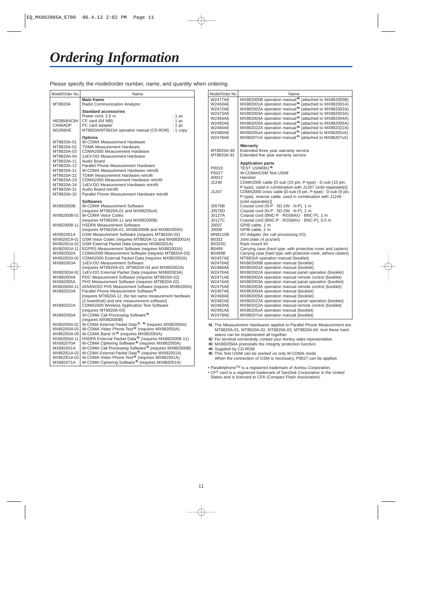Please specify the model/order number, name, and quantity when ordering.

| Model/Order No.                                                                                                                                                                         | Name                                                                                                                                                                                                                                                                                                                                                                                                                                                                                                                                                                                                                                                                                                                                                                            |  |
|-----------------------------------------------------------------------------------------------------------------------------------------------------------------------------------------|---------------------------------------------------------------------------------------------------------------------------------------------------------------------------------------------------------------------------------------------------------------------------------------------------------------------------------------------------------------------------------------------------------------------------------------------------------------------------------------------------------------------------------------------------------------------------------------------------------------------------------------------------------------------------------------------------------------------------------------------------------------------------------|--|
| MT8820A                                                                                                                                                                                 | <b>Main frame</b><br>Radio Communication Analyzer                                                                                                                                                                                                                                                                                                                                                                                                                                                                                                                                                                                                                                                                                                                               |  |
| HB28B064C8H<br>CA68ADP<br><b>W2458AE</b>                                                                                                                                                | <b>Standard accessories</b><br>Power cord, 2.6 m<br>: 1pc<br>CF card (64 MB)<br>: $1~pc$<br>PC card adapter<br>: 1 pc<br>MT8820A/MT8815A operation manual (CD-ROM)<br>$: 1$ copy                                                                                                                                                                                                                                                                                                                                                                                                                                                                                                                                                                                                |  |
| MT8820A-01<br>MT8820A-02<br>MT8820A-03<br>MT8820A-04<br>MT8820A-11<br>MT8820A-12<br>MT8820A-21<br>MT8820A-22<br>MT8820A-23<br>MT8820A-24<br>MT8820A-31<br>MT8820A-32                    | <b>Options</b><br>W-CDMA Measurement Hardware<br><b>TDMA Measurement Hardware</b><br><b>CDMA2000 Measurement Hardware</b><br>1xEV-DO Measurement Hardware<br><b>Audio Board</b><br>Parallel Phone Measurement Hardware<br>W-CDMA Measurement Hardware retrofit<br>TDMA Measurement Hardware retrofit<br>CDMA2000 Measurement Hardware retrofit<br>1xEV-DO Measurement Hardware retrofit<br>Audio Board retrofit<br>Parallel Phone Measurement Hardware retrofit                                                                                                                                                                                                                                                                                                                 |  |
| MX882000B                                                                                                                                                                               | <b>Softwares</b><br>W-CDMA Measurement Software<br>(requires MT8820A-01 and MX88205xA)                                                                                                                                                                                                                                                                                                                                                                                                                                                                                                                                                                                                                                                                                          |  |
| MX882000B-01                                                                                                                                                                            | <b>W-CDMA Voice Codec</b><br>(requires MT8820A-11 and MX882000B)                                                                                                                                                                                                                                                                                                                                                                                                                                                                                                                                                                                                                                                                                                                |  |
| MX882000B-11                                                                                                                                                                            | <b>HSDPA Measurement Software</b><br>(requires MT8820A-01, MX882000B and MX882050A)                                                                                                                                                                                                                                                                                                                                                                                                                                                                                                                                                                                                                                                                                             |  |
| MX882001A<br>MX882001A-01<br>MX882001A-02<br>MX882001A-11<br>MX882002A<br>MX882002A-02<br>MX882003A<br>MX882003A-02<br>MX882004A<br>MX882005A<br>MX882005A-11<br>MX882010A<br>MX882022A | GSM Measurement Software (requires MT8820A-02)<br>GSM Voice Codec (requires MT8820A-11 and MX882001A)<br>GSM External Packet Data (requires MX882001A)<br>EGPRS Measurement Software (requires MX882001A)<br>CDMA2000 Measurement Software (requires MT8820A-03)<br>CDMA2000 External Packet Data (requires MX882002A)<br>1xEV-DO Measurement Software<br>(requires MT8820A-03, MT8820A-04 and MX882002A)<br>1xEV-DO External Packet Data (requires MX882003A)<br>PDC Measurement Software (requires MT8820A-02)<br>PHS Measurement Software (requires MT8820A-02)<br>ADVANCED PHS Measurement Software (requires MX882005A)<br>Parallel Phone Measurement Software*1<br>[requires MT8820A-12, the two same measurement hardware<br>(2 board/set) and one measurement software] |  |
| MX882050A                                                                                                                                                                               | <b>CDMA2000 Wireless Application Test Software</b><br>(requires MT8820A-03)<br>W-CDMA Call Processing Software*2                                                                                                                                                                                                                                                                                                                                                                                                                                                                                                                                                                                                                                                                |  |
| MX882050A-02<br>MX882050A-03<br>MX882050A-09<br>MX882050A-11<br>MX882070A<br>MX882051A<br>MX882051A-02<br>MX882051A-03<br>MX882071A                                                     | (requires MX882000B)<br>W-CDMA External Packet Data*2, *3 (requires MX882050A)<br>W-CDMA Video Phone Test* <sup>2</sup> (requires MX882050A)<br>W-CDMA Band IX <sup>*2</sup> (requires MX882050A)<br>HSDPA External Packet Data* <sup>2</sup> (requires MX882000B-11)<br>W-CDMA Ciphering Software*2 (requires MX882050A)<br>W-CDMA Call Processing Software <sup>*2</sup> (requires MX882000B)<br>W-CDMA External Packet Data*2 (requires MX882051A)<br>W-CDMA Video Phone Test <sup>*2</sup> (requires MX882051A)<br>W-CDMA Ciphering Software* <sup>2</sup> (requires MX882051A)                                                                                                                                                                                             |  |

| Name                                                                                                                                                                                                                                                                                                                                                                                                                                                                                                                                                                                                                                                                                                                                                                 |
|----------------------------------------------------------------------------------------------------------------------------------------------------------------------------------------------------------------------------------------------------------------------------------------------------------------------------------------------------------------------------------------------------------------------------------------------------------------------------------------------------------------------------------------------------------------------------------------------------------------------------------------------------------------------------------------------------------------------------------------------------------------------|
| MX882000B operation manual*4 (attached to MX882000B)<br>MX882001A operation manual*4 (attached to MX882001A)<br>MX882002A operation manual*4 (attached to MX882002A)<br>MX882003A operation manual*4 (attached to MX882003A)<br>MX882004A operation manual*4 (attached to MX882004A)<br>MX882005A operation manual <sup>*4</sup> (attached to MX882005A)<br>MX882022A operation manual*4 (attached to MX882022A)<br>MX88205xA operation manual*4 (attached to MX88205xA)<br>MX88207xA operation manual*4 (attached to MX88207xA)                                                                                                                                                                                                                                     |
| Warranty<br>Extended three year warranty service<br>Extended five year warranty service                                                                                                                                                                                                                                                                                                                                                                                                                                                                                                                                                                                                                                                                              |
| <b>Application parts</b><br>TEST USIM001*5<br>W-CDMA/GSM Test USIM<br>Handset<br>CDMA2000 cable [D-sub (15 pin, P-type) · D-sub (15 pin,<br>P-type), used in combination with J1267 (sold separately)]                                                                                                                                                                                                                                                                                                                                                                                                                                                                                                                                                               |
| CDMA2000 cross cable [D-sub (9 pin, P-type) · D-sub (9 pin,<br>P-type), reverse cable, used in combination with J1249<br>(sold separately)]                                                                                                                                                                                                                                                                                                                                                                                                                                                                                                                                                                                                                          |
| Coaxial cord (N-P · 5D-2W · N-P), 1 m<br>Coaxial cord (N-P · 5D-2W · N-P), 2 m<br>Coaxial cord (BNC-P · RG58A/U · BNC-P), 1 m<br>Coaxial cord (BNC-P · RG58A/U · BNC-P), 0.5 m<br>GPIB cable, 1 m<br>GPIB cable, 2 m                                                                                                                                                                                                                                                                                                                                                                                                                                                                                                                                                 |
| I/O Adapter (for call processing I/O)<br>Joint plate (4 pcs/set)<br>Rack mount kit                                                                                                                                                                                                                                                                                                                                                                                                                                                                                                                                                                                                                                                                                   |
| Carrying case (hard type, with protective cover and casters)<br>Carrying case (hard type, with protective cover, without casters)<br>MT8820A operation manual (booklet)<br>MX882000B operation manual (booklet)<br>MX882001A operation manual (booklet)<br>MX882002A operation manual panel operation (booklet)<br>MX882002A operation manual remote control (booklet)<br>MX882003A operation manual panel operation (booklet)<br>MX882003A operation manual remote control (booklet)<br>MX882004A operation manual (booklet)<br>MX882005A operation manual (booklet)<br>MX882022A operation manual panel operation (booklet)<br>MX882022A operation manual remote control (booklet)<br>MX88205xA operation manual (booklet)<br>MX88207xA operation manual (booklet) |
|                                                                                                                                                                                                                                                                                                                                                                                                                                                                                                                                                                                                                                                                                                                                                                      |

∗1: The Measurement Hardwares applied to Parallel Phone Measurement are MT8820A-01, MT8820A-02, MT8820A-03, MT8820A-04. And these hardwares can be implemented all together.

∗2: For terminal connectivity, contact your Anritsu sales representative.

∗3: MX882050A preinstalls the integrity protection function.

∗4: Supplied by CD-ROM

∗5: This Test USIM can be worked on only W-CDMA mode. When the connection of GSM is necessary, P0027 can be applied.

• ParallelphoneTM is a registered trademark of Anritsu Corporation.

• CF<sup>®</sup> card is a registered trademark of SanDisk Corporation in the United States and is licensed to CFA (Compact Flash Association).